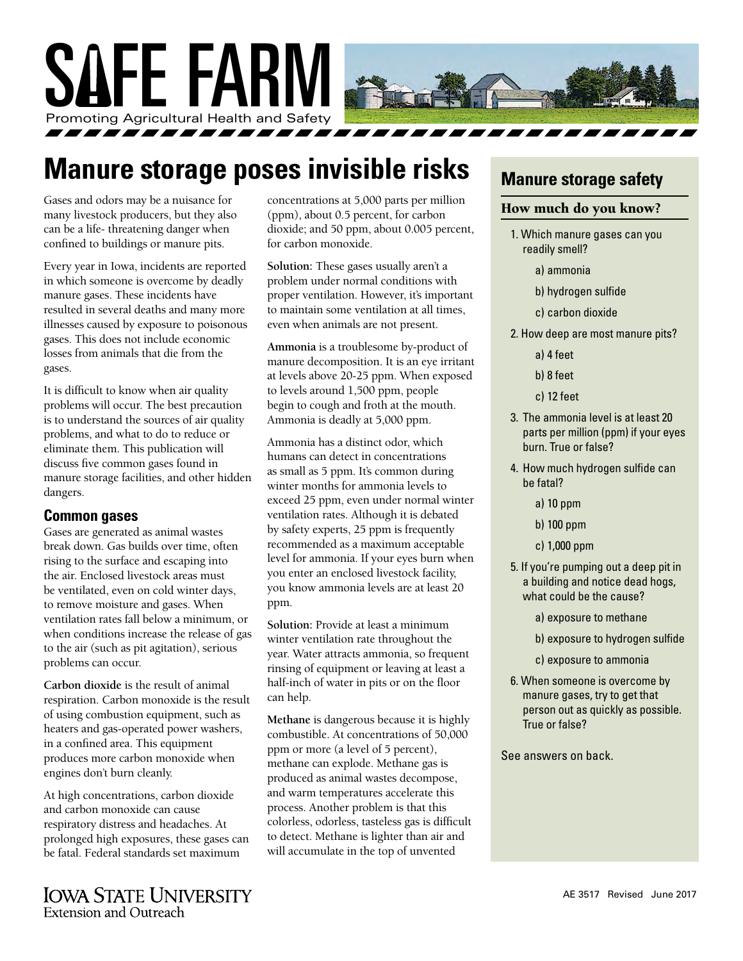

# **Manure storage poses invisible risks**

Gases and odors may be a nuisance for many livestock producers, but they also can be a life- threatening danger when confined to buildings or manure pits.

Every year in Iowa, incidents are reported in which someone is overcome by deadly manure gases. These incidents have resulted in several deaths and many more illnesses caused by exposure to poisonous gases. This does not include economic losses from animals that die from the gases.

It is difficult to know when air quality problems will occur. The best precaution is to understand the sources of air quality problems, and what to do to reduce or eliminate them. This publication will discuss five common gases found in manure storage facilities, and other hidden dangers.

#### **Common gases**

Gases are generated as animal wastes break down. Gas builds over time, often rising to the surface and escaping into the air. Enclosed livestock areas must be ventilated, even on cold winter days, to remove moisture and gases. When ventilation rates fall below a minimum, or when conditions increase the release of gas to the air (such as pit agitation), serious problems can occur.

**Carbon dioxide** is the result of animal respiration. Carbon monoxide is the result of using combustion equipment, such as heaters and gas-operated power washers, in a confined area. This equipment produces more carbon monoxide when engines don't burn cleanly.

At high concentrations, carbon dioxide and carbon monoxide can cause respiratory distress and headaches. At prolonged high exposures, these gases can be fatal. Federal standards set maximum

**IOWA STATE UNIVERSITY Extension and Outreach** 

concentrations at 5,000 parts per million (ppm), about 0.5 percent, for carbon dioxide; and 50 ppm, about 0.005 percent, for carbon monoxide.

**Solution:** These gases usually aren't a problem under normal conditions with proper ventilation. However, it's important to maintain some ventilation at all times, even when animals are not present.

**Ammonia** is a troublesome by-product of manure decomposition. It is an eye irritant at levels above 20-25 ppm. When exposed to levels around 1,500 ppm, people begin to cough and froth at the mouth. Ammonia is deadly at 5,000 ppm.

Ammonia has a distinct odor, which humans can detect in concentrations as small as 5 ppm. It's common during winter months for ammonia levels to exceed 25 ppm, even under normal winter ventilation rates. Although it is debated by safety experts, 25 ppm is frequently recommended as a maximum acceptable level for ammonia. If your eyes burn when you enter an enclosed livestock facility, you know ammonia levels are at least 20 ppm.

**Solution:** Provide at least a minimum winter ventilation rate throughout the year. Water attracts ammonia, so frequent rinsing of equipment or leaving at least a half-inch of water in pits or on the floor can help.

**Methane** is dangerous because it is highly combustible. At concentrations of 50,000 ppm or more (a level of 5 percent), methane can explode. Methane gas is produced as animal wastes decompose, and warm temperatures accelerate this process. Another problem is that this colorless, odorless, tasteless gas is difficult to detect. Methane is lighter than air and will accumulate in the top of unvented

### **Manure storage safety**

#### How much do you know?

- 1. Which manure gases can you readily smell?
	- a) ammonia
	- b) hydrogen sulfide
	- c) carbon dioxide
- 2. How deep are most manure pits?
	- a) 4 feet
	- b) 8 feet
	- c) 12 feet
- 3. The ammonia level is at least 20 parts per million (ppm) if your eyes burn. True or false?
- 4. How much hydrogen sulfide can be fatal?
	- a) 10 ppm
	- b) 100 ppm
	- c) 1,000 ppm
- 5. If you're pumping out a deep pit in a building and notice dead hogs, what could be the cause?
	- a) exposure to methane
	- b) exposure to hydrogen sulfide
	- c) exposure to ammonia
- 6. When someone is overcome by manure gases, try to get that person out as quickly as possible. True or false?

See answers on back.